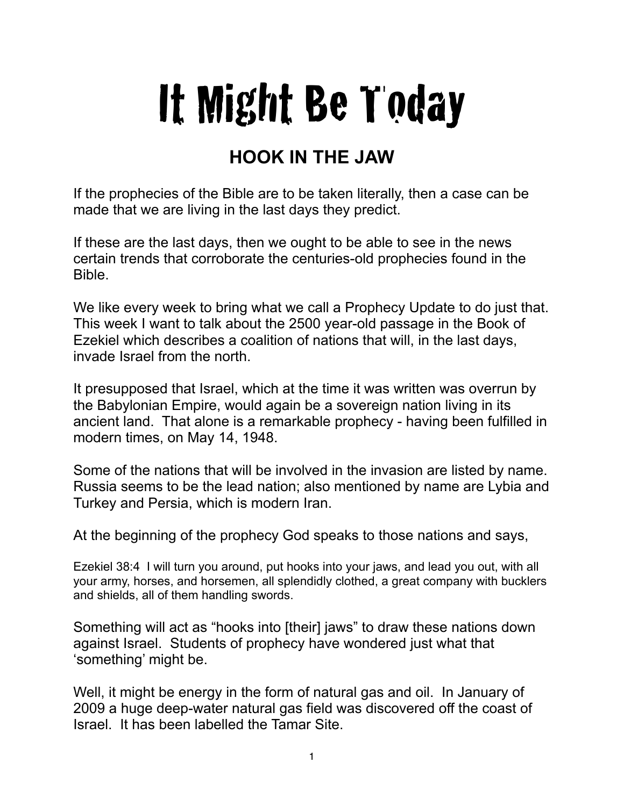## It Might Be Today

## **HOOK IN THE JAW**

If the prophecies of the Bible are to be taken literally, then a case can be made that we are living in the last days they predict.

If these are the last days, then we ought to be able to see in the news certain trends that corroborate the centuries-old prophecies found in the Bible.

We like every week to bring what we call a Prophecy Update to do just that. This week I want to talk about the 2500 year-old passage in the Book of Ezekiel which describes a coalition of nations that will, in the last days, invade Israel from the north.

It presupposed that Israel, which at the time it was written was overrun by the Babylonian Empire, would again be a sovereign nation living in its ancient land. That alone is a remarkable prophecy - having been fulfilled in modern times, on May 14, 1948.

Some of the nations that will be involved in the invasion are listed by name. Russia seems to be the lead nation; also mentioned by name are Lybia and Turkey and Persia, which is modern Iran.

At the beginning of the prophecy God speaks to those nations and says,

Ezekiel 38:4 I will turn you around, put hooks into your jaws, and lead you out, with all your army, horses, and horsemen, all splendidly clothed, a great company with bucklers and shields, all of them handling swords.

Something will act as "hooks into [their] jaws" to draw these nations down against Israel. Students of prophecy have wondered just what that 'something' might be.

Well, it might be energy in the form of natural gas and oil. In January of 2009 a huge deep-water natural gas field was discovered off the coast of Israel. It has been labelled the Tamar Site.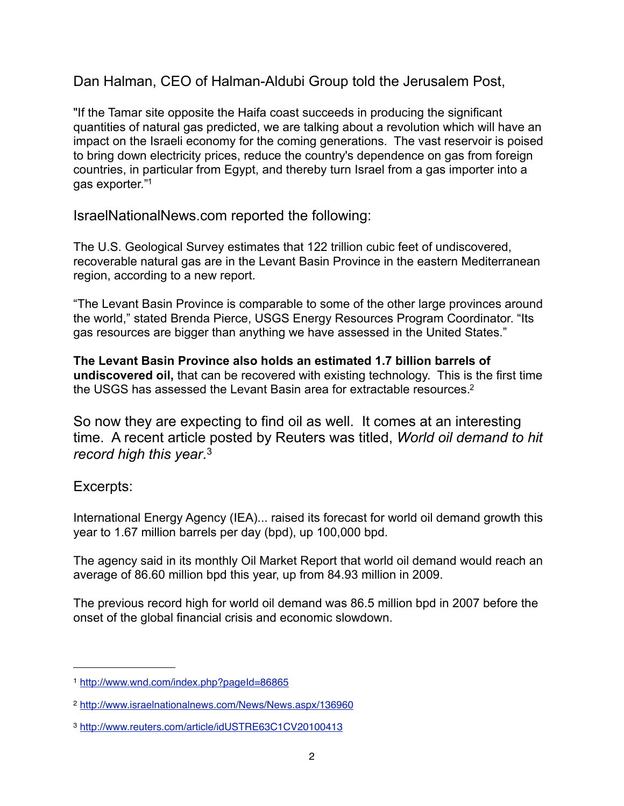Dan Halman, CEO of Halman-Aldubi Group told the Jerusalem Post,

"If the Tamar site opposite the Haifa coast succeeds in producing the significant quantities of natural gas predicted, we are talking about a revolution which will have an impact on the Israeli economy for the coming generations. The vast reservoir is poised to bring down electricity prices, reduce the country's dependence on gas from foreign countries, in particular from Egypt, and thereby turn Israel from a gas importer into a gas exporter.["1](#page-1-0)

IsraelNationalNews.com reported the following:

The U.S. Geological Survey estimates that 122 trillion cubic feet of undiscovered, recoverable natural gas are in the Levant Basin Province in the eastern Mediterranean region, according to a new report.

"The Levant Basin Province is comparable to some of the other large provinces around the world," stated Brenda Pierce, USGS Energy Resources Program Coordinator. "Its gas resources are bigger than anything we have assessed in the United States."

**The Levant Basin Province also holds an estimated 1.7 billion barrels of undiscovered oil,** that can be recovered with existing technology. This is the first time the USGS has assessed the Levant Basin area for extractable resources.<sup>2</sup>

So now they are expecting to find oil as well. It comes at an interesting time. A recent article posted by Reuters was titled, *World oil demand to hit record high this year*. [3](#page-1-2)

## Excerpts:

International Energy Agency (IEA)... raised its forecast for world oil demand growth this year to 1.67 million barrels per day (bpd), up 100,000 bpd.

The agency said in its monthly Oil Market Report that world oil demand would reach an average of 86.60 million bpd this year, up from 84.93 million in 2009.

The previous record high for world oil demand was 86.5 million bpd in 2007 before the onset of the global financial crisis and economic slowdown.

<span id="page-1-0"></span><sup>1</sup> <http://www.wnd.com/index.php?pageId=86865>

<span id="page-1-1"></span><sup>2</sup> <http://www.israelnationalnews.com/News/News.aspx/136960>

<span id="page-1-2"></span><sup>3</sup> <http://www.reuters.com/article/idUSTRE63C1CV20100413>